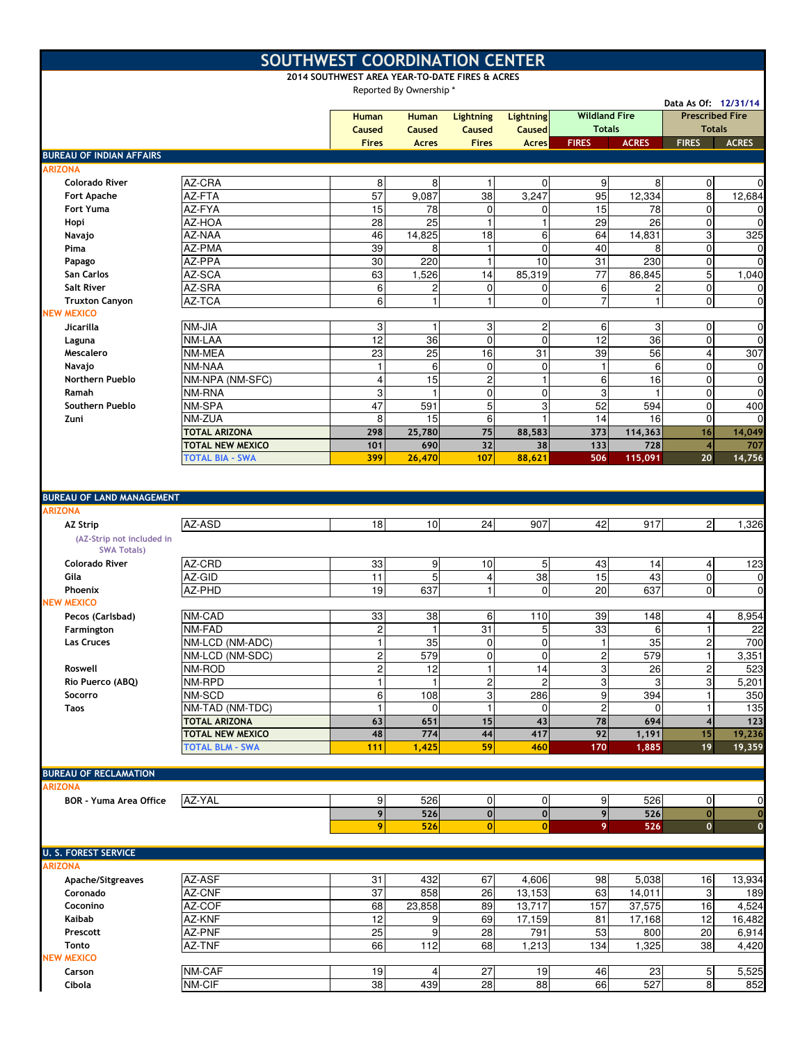|                                                |                                            | SOUTHWEST COORDINATION CENTER<br>2014 SOUTHWEST AREA YEAR-TO-DATE FIRES & ACRES |                         |                                           |                                   |                                       |                  |                                                                 |                 |
|------------------------------------------------|--------------------------------------------|---------------------------------------------------------------------------------|-------------------------|-------------------------------------------|-----------------------------------|---------------------------------------|------------------|-----------------------------------------------------------------|-----------------|
|                                                |                                            |                                                                                 | Reported By Ownership * |                                           |                                   |                                       |                  |                                                                 |                 |
|                                                |                                            | <b>Human</b><br>Caused                                                          | <b>Human</b><br>Caused  | <b>Lightning</b><br><b>Caused</b>         | <b>Lightning</b><br><b>Caused</b> | <b>Wildland Fire</b><br><b>Totals</b> |                  | Data As Of: 12/31/14<br><b>Prescribed Fire</b><br><b>Totals</b> |                 |
|                                                |                                            | <b>Fires</b>                                                                    | <b>Acres</b>            | <b>Fires</b>                              | <b>Acres</b>                      | <b>FIRES</b>                          | <b>ACRES</b>     | <b>FIRES</b>                                                    | <b>ACRES</b>    |
| <b>BUREAU OF INDIAN AFFAIRS</b>                |                                            |                                                                                 |                         |                                           |                                   |                                       |                  |                                                                 |                 |
| <b>ARIZONA</b><br><b>Colorado River</b>        | AZ-CRA                                     | 8                                                                               | 8                       |                                           | $\Omega$                          | 9                                     | 8                | $\overline{0}$                                                  | $\mathbf 0$     |
| Fort Apache                                    | AZ-FTA                                     | $\overline{57}$                                                                 | 9,087                   | 38                                        | 3,247                             | 95                                    | 12,334           | 8 <sup>1</sup>                                                  | 12,684          |
| Fort Yuma                                      | AZ-FYA                                     | 15                                                                              | 78                      | $\mathbf 0$                               | $\mathbf{0}$                      | 15                                    | 78               | $\overline{0}$                                                  | 0               |
| Hopi                                           | AZ-HOA                                     | 28                                                                              | 25                      | $\mathbf{1}$                              | $\mathbf{1}$                      | 29                                    | 26               | $\mathbf{0}$                                                    | $\mathbf 0$     |
| Navajo                                         | AZ-NAA                                     | 46                                                                              | 14,825                  | 18                                        | 6                                 | 64                                    | 14,831           | 3                                                               | 325             |
| Pima                                           | AZ-PMA                                     | 39                                                                              | 8                       | $\mathbf{1}$                              | $\Omega$                          | 40                                    | 8                | $\mathbf{0}$                                                    | 0               |
| Papago                                         | AZ-PPA                                     | 30                                                                              | 220                     | $\mathbf{1}$                              | 10                                | 31                                    | 230              | $\overline{0}$                                                  | $\mathbf 0$     |
| San Carlos                                     | AZ-SCA                                     | 63                                                                              | 1,526                   | 14                                        | 85,319                            | 77                                    | 86,845           | 5                                                               | 1,040           |
| <b>Salt River</b>                              | AZ-SRA                                     | 6                                                                               | 2                       | $\boldsymbol{0}$                          | $\overline{0}$                    | 6                                     | 2                | $\overline{0}$                                                  | 0               |
| <b>Truxton Canyon</b><br><b>NEW MEXICO</b>     | AZ-TCA                                     | 6                                                                               | 1                       | $\mathbf{1}$                              | $\mathbf{0}$                      | $\overline{7}$                        | 1                | $\overline{0}$                                                  | $\mathbf 0$     |
| <b>Jicarilla</b>                               | NM-JIA                                     | 3                                                                               | 1                       | 3                                         | $\overline{c}$                    | 6                                     | 3                | $\overline{0}$                                                  | $\mathbf 0$     |
| Laguna                                         | NM-LAA                                     | 12                                                                              | 36                      | $\mathbf 0$                               | $\mathbf{0}$                      | 12                                    | 36               | $\mathbf{0}$                                                    | $\mathbf 0$     |
| Mescalero                                      | NM-MEA                                     | 23                                                                              | $\overline{25}$         | 16                                        | 31                                | 39                                    | 56               | $\overline{4}$                                                  | 307             |
| Navajo                                         | NM-NAA                                     | 1                                                                               | 6                       | $\mathbf 0$                               | $\mathbf 0$                       | $\mathbf{1}$                          | 6                | $\mathbf{0}$                                                    | $\mathbf 0$     |
| <b>Northern Pueblo</b>                         | NM-NPA (NM-SFC)                            | 4                                                                               | 15                      | $\overline{c}$                            | 1                                 | 6                                     | 16               | $\mathbf{0}$                                                    | $\mathbf 0$     |
| Ramah                                          | NM-RNA                                     | 3                                                                               | $\mathbf{1}$            | $\boldsymbol{0}$                          | $\mathbf{0}$                      | 3                                     |                  | $\mathbf 0$                                                     | $\mathbf 0$     |
| Southern Pueblo                                | NM-SPA                                     | 47                                                                              | 591                     | 5                                         | 3                                 | 52                                    | 594              | $\overline{0}$                                                  | 400             |
| Zuni                                           | NM-ZUA                                     | 8                                                                               | 15                      | 6                                         | $\mathbf{1}$                      | 14                                    | 16               | $\overline{0}$                                                  | 0               |
|                                                | <b>TOTAL ARIZONA</b>                       | 298                                                                             | 25,780                  | 75                                        | 88,583                            | 373                                   | 114,363          | 16                                                              | 14,049          |
|                                                | <b>TOTAL NEW MEXICO</b><br>TOTAL BIA - SWA | 101<br>399                                                                      | 690<br>26,470           | 32<br>107                                 | 38<br>88,621                      | 133<br>506                            | 728<br>115,091   | $\overline{4}$<br>20                                            | 707<br>14,756   |
|                                                |                                            |                                                                                 |                         |                                           |                                   |                                       |                  |                                                                 |                 |
| <b>BUREAU OF LAND MANAGEMENT</b>               |                                            |                                                                                 |                         |                                           |                                   |                                       |                  |                                                                 |                 |
| <b>ARIZONA</b>                                 |                                            |                                                                                 |                         |                                           |                                   |                                       |                  |                                                                 |                 |
| <b>AZ Strip</b><br>(AZ-Strip not included in   | AZ-ASD                                     | 18                                                                              | 10                      | 24                                        | 907                               | 42                                    | 917              | 2 <sub>l</sub>                                                  | 1,326           |
| <b>SWA Totals)</b><br><b>Colorado River</b>    | AZ-CRD                                     |                                                                                 |                         |                                           |                                   |                                       |                  |                                                                 |                 |
| Gila                                           | AZ-GID                                     | 33<br>11                                                                        | 9<br>5                  | 10<br>4                                   | 5<br>38                           | 43<br>15                              | 14<br>43         | 4<br>$\overline{0}$                                             | 123<br>0        |
| Phoenix                                        | AZ-PHD                                     | 19                                                                              | 637                     | $\mathbf{1}$                              | $\mathbf{0}$                      | 20                                    | 637              | $\Omega$                                                        | $\mathbf 0$     |
| <b>NEW MEXICO</b>                              |                                            |                                                                                 |                         |                                           |                                   |                                       |                  |                                                                 |                 |
| Pecos (Carlsbad)                               | NM-CAD                                     | 33                                                                              | 38                      | 6                                         | 110                               | 39                                    | 148              | 4                                                               | 8,954           |
| Farmington                                     | NM-FAD                                     | $\overline{c}$                                                                  | 1                       | 31                                        | 5                                 | 33                                    | 6                | $\mathbf{1}$                                                    | 22              |
| Las Cruces                                     | NM-LCD (NM-ADC)                            | $\mathbf{1}$                                                                    | 35                      | $\overline{0}$                            | $\overline{0}$                    | 11                                    | 35               | $\mathbf{2}$                                                    | 700             |
|                                                | NM-LCD (NM-SDC)                            | $\overline{\mathbf{c}}$                                                         | 579                     | 0                                         | $\overline{0}$                    | $\mathbf 2$                           | 579              | $\mathbf{1}$                                                    | 3,351           |
| Roswell                                        | NM-ROD                                     | $\overline{\mathbf{c}}$                                                         | 12                      | $\mathbf{1}$                              | 14                                | 3                                     | 26               | $\mathbf 2$                                                     | 523             |
| Rio Puerco (ABQ)                               | NM-RPD                                     | 1                                                                               | $\mathbf{1}$            | $\boldsymbol{2}$                          | $\overline{c}$                    | 3                                     | 3                | 3                                                               | 5,201           |
| Socorro                                        | NM-SCD                                     | 6<br>$\overline{1}$                                                             | 108                     | $\ensuremath{\mathsf{3}}$<br>$\mathbf{1}$ | 286                               | 9                                     | 394              | $\mathbf{1}$                                                    | 350             |
| <b>Taos</b>                                    | NM-TAD (NM-TDC)<br><b>TOTAL ARIZONA</b>    | 63                                                                              | $\mathbf 0$<br>651      | 15                                        | $\mathbf 0$<br>43                 | $\overline{c}$<br>78                  | $\Omega$<br>694  | 1<br>$\overline{4}$                                             | 135<br>123      |
|                                                | <b>TOTAL NEW MEXICO</b>                    | 48                                                                              | 774                     | 44                                        | 417                               | 92                                    | 1,191            | 15                                                              | 19,236          |
|                                                | <b>TOTAL BLM - SWA</b>                     | 111                                                                             | 1,425                   | 59                                        | 460                               | 170                                   | 1,885            | 19                                                              | 19,359          |
|                                                |                                            |                                                                                 |                         |                                           |                                   |                                       |                  |                                                                 |                 |
| <b>BUREAU OF RECLAMATION</b><br><b>ARIZONA</b> |                                            |                                                                                 |                         |                                           |                                   |                                       |                  |                                                                 |                 |
| <b>BOR - Yuma Area Office</b>                  | AZ-YAL                                     | 9                                                                               | 526                     | $\mathbf 0$                               | $\overline{0}$                    | 9                                     | 526              | $\overline{0}$                                                  | 0               |
|                                                |                                            | 9                                                                               | 526                     | $\mathbf 0$                               | $\mathbf{0}$                      | 9                                     | 526              | 0                                                               | $\mathbf 0$     |
|                                                |                                            | 9                                                                               | 526                     | $\bf{0}$                                  | $\mathbf{0}$                      | 9                                     | 526              | $\mathbf{0}$                                                    | $\mathbf{o}$    |
| <b>U. S. FOREST SERVICE</b>                    |                                            |                                                                                 |                         |                                           |                                   |                                       |                  |                                                                 |                 |
| <b>ARIZONA</b>                                 |                                            |                                                                                 |                         |                                           |                                   |                                       |                  |                                                                 |                 |
| Apache/Sitgreaves                              | AZ-ASF                                     | 31                                                                              | 432                     | 67                                        | 4,606                             | 98                                    | 5,038            | 16                                                              | 13,934          |
| Coronado                                       | AZ-CNF                                     | 37                                                                              | 858                     | 26                                        | 13,153                            | 63                                    | 14,011           | 3                                                               | 189             |
| Coconino<br>Kaibab                             | AZ-COF<br>AZ-KNF                           | 68<br>12                                                                        | 23,858<br>9             | 89<br>69                                  | 13,717<br>17,159                  | 157<br>81                             | 37,575<br>17,168 | 16<br>12                                                        | 4,524<br>16,482 |
| Prescott                                       | AZ-PNF                                     | 25                                                                              | 9                       | 28                                        | 791                               | 53                                    | 800              | 20                                                              | 6,914           |
| Tonto                                          | AZ-TNF                                     | 66                                                                              | 112                     | 68                                        | 1,213                             | 134                                   | 1,325            | 38                                                              | 4,420           |
| <b>NEW MEXICO</b>                              |                                            |                                                                                 |                         |                                           |                                   |                                       |                  |                                                                 |                 |
| Carson                                         | NM-CAF                                     | 19                                                                              | 4                       | 27                                        | 19                                | 46                                    | 23               | 5 <sub>l</sub>                                                  | 5,525           |
| Cibola                                         | NM-CIF                                     | 38                                                                              | 439                     | 28                                        | 88                                | 66                                    | 527              | 8 <sup>1</sup>                                                  | 852             |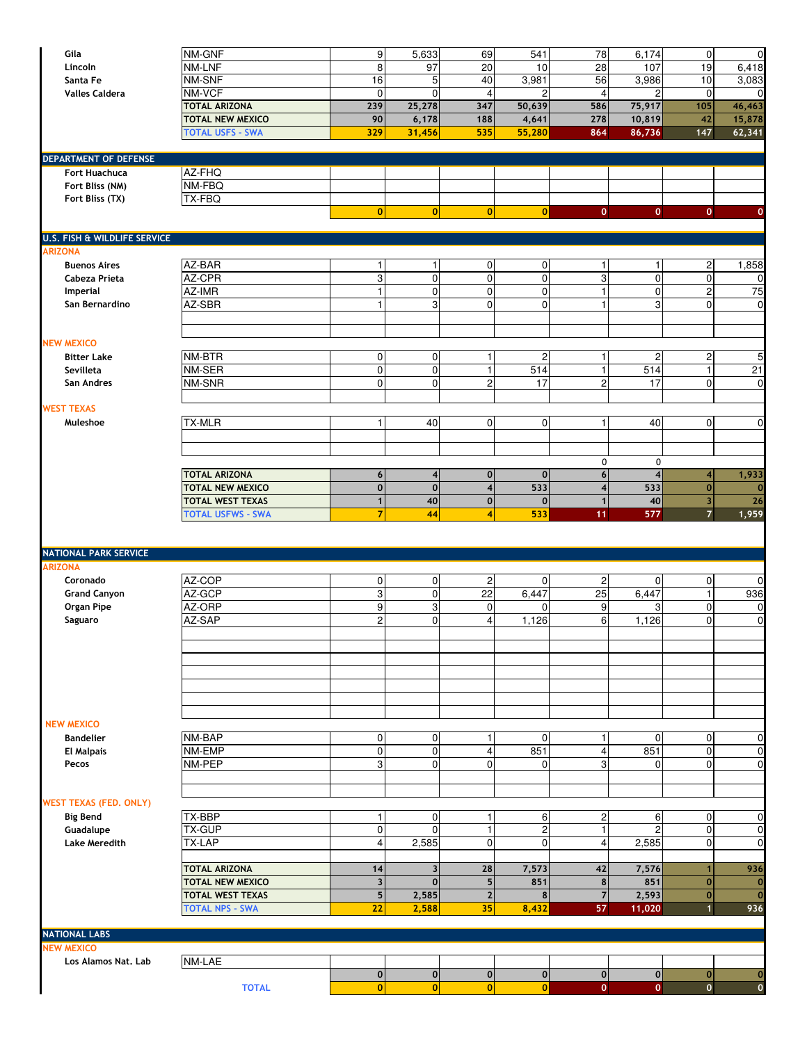| Gila<br>Lincoln                 | NM-GNF<br>NM-LNF                                    | $\overline{9}$<br>8           | 5,633<br>97            | 69<br>20                | 541<br>10             | 78<br>28                  | 6,174<br>107            | $\overline{0}$<br>19                      | $\mathbf 0$<br>6,418 |
|---------------------------------|-----------------------------------------------------|-------------------------------|------------------------|-------------------------|-----------------------|---------------------------|-------------------------|-------------------------------------------|----------------------|
| Santa Fe                        | NM-SNF                                              | 16                            | 5                      | 40                      | 3,981                 | 56                        | 3,986                   | 10                                        | 3,083                |
| <b>Valles Caldera</b>           | NM-VCF                                              | $\mathbf{0}$                  | $\mathbf 0$            | $\overline{4}$          | $\overline{c}$        | $\overline{4}$            | $\overline{2}$          | $\mathbf 0$                               | $\Omega$             |
|                                 | <b>TOTAL ARIZONA</b>                                | 239                           | 25,278                 | 347                     | 50,639                | 586                       | 75,917                  | 105                                       | 46,463               |
|                                 | <b>TOTAL NEW MEXICO</b>                             | 90                            | 6,178                  | 188                     | 4,641                 | 278                       | 10,819                  | 42                                        | 15,878               |
|                                 | <b>TOTAL USFS - SWA</b>                             | 329                           | 31,456                 | 535                     | 55,280                | 864                       | 86,736                  | 147                                       | 62,341               |
|                                 |                                                     |                               |                        |                         |                       |                           |                         |                                           |                      |
| <b>DEPARTMENT OF DEFENSE</b>    |                                                     |                               |                        |                         |                       |                           |                         |                                           |                      |
| Fort Huachuca                   | AZ-FHQ                                              |                               |                        |                         |                       |                           |                         |                                           |                      |
| Fort Bliss (NM)                 | NM-FBQ                                              |                               |                        |                         |                       |                           |                         |                                           |                      |
| Fort Bliss (TX)                 | TX-FBQ                                              |                               |                        |                         |                       |                           |                         |                                           |                      |
|                                 |                                                     | $\overline{0}$                | $\mathbf{0}$           | $\mathbf{0}$            | 0                     | $\mathbf{0}$              | $\mathbf{0}$            | $\overline{0}$                            | $\mathbf 0$          |
| U.S. FISH & WILDLIFE SERVICE    |                                                     |                               |                        |                         |                       |                           |                         |                                           |                      |
| <b>ARIZONA</b>                  |                                                     |                               |                        |                         |                       |                           |                         |                                           |                      |
| <b>Buenos Aires</b>             | AZ-BAR                                              | 1                             |                        | 0                       | $\pmb{0}$             | 1                         | $\mathbf{1}$            | $\overline{c}$                            | 1,858                |
| Cabeza Prieta                   | AZ-CPR                                              | $\ensuremath{\mathsf{3}}$     | $\pmb{0}$              | 0                       | $\mathbf 0$           | $\ensuremath{\mathsf{3}}$ | $\overline{0}$          | $\mathbf 0$                               | 0                    |
| Imperial                        | AZ-IMR                                              | $\overline{1}$                | $\pmb{0}$              | $\pmb{0}$               | $\overline{0}$        | $\mathbf{1}$              | $\overline{0}$          | <sub>2</sub>                              | 75                   |
| San Bernardino                  | AZ-SBR                                              | 1                             | 3                      | 0                       | $\mathbf{0}$          | 1                         | 3                       | $\Omega$                                  | $\mathbf 0$          |
|                                 |                                                     |                               |                        |                         |                       |                           |                         |                                           |                      |
|                                 |                                                     |                               |                        |                         |                       |                           |                         |                                           |                      |
| <b>NEW MEXICO</b>               |                                                     |                               |                        |                         |                       |                           |                         |                                           |                      |
| <b>Bitter Lake</b><br>Sevilleta | NM-BTR<br>NM-SER                                    | $\mathbf 0$<br>$\overline{0}$ | $\pmb{0}$<br>$\pmb{0}$ | 1<br>$\mathbf{1}$       | $\overline{c}$<br>514 | 1<br>$\mathbf{1}$         | $\overline{c}$<br>514   | $\overline{c}$<br>1                       | 5<br>21              |
| San Andres                      | NM-SNR                                              | $\Omega$                      | $\mathbf 0$            | $\overline{c}$          | 17                    | $\overline{c}$            | 17                      | $\mathbf 0$                               | $\mathbf 0$          |
|                                 |                                                     |                               |                        |                         |                       |                           |                         |                                           |                      |
| <b>WEST TEXAS</b>               |                                                     |                               |                        |                         |                       |                           |                         |                                           |                      |
| Muleshoe                        | <b>TX-MLR</b>                                       | $\vert$                       | 40                     | 0                       | $\overline{0}$        | 1                         | 40                      | $\overline{0}$                            | $\mathbf 0$          |
|                                 |                                                     |                               |                        |                         |                       |                           |                         |                                           |                      |
|                                 |                                                     |                               |                        |                         |                       |                           |                         |                                           |                      |
|                                 |                                                     |                               |                        |                         |                       | 0                         | $\mathbf 0$             |                                           |                      |
|                                 | <b>TOTAL ARIZONA</b>                                | 6 <sup>1</sup>                | 4                      | $\mathbf 0$             | $\mathbf{0}$          | $6\phantom{a}$            | $\overline{\mathbf{4}}$ | $\overline{\mathbf{4}}$                   | 1,933                |
|                                 | <b>TOTAL NEW MEXICO</b>                             | $\mathbf 0$                   | $\mathbf 0$            | $\overline{\mathbf{4}}$ | 533                   | $\overline{\mathbf{4}}$   | 533                     | $\mathbf{0}$                              | $\mathbf 0$          |
|                                 | <b>TOTAL WEST TEXAS</b><br><b>TOTAL USFWS - SWA</b> | $\mathbf{1}$<br>7             | 40<br>44               | $\bf{0}$<br>4           | $\mathbf 0$<br>533    | $\mathbf{1}$              | 40<br>577               | $\overline{\mathbf{3}}$<br>$\overline{7}$ | 26<br>1,959          |
|                                 |                                                     |                               |                        |                         |                       | 11                        |                         |                                           |                      |
|                                 |                                                     |                               |                        |                         |                       |                           |                         |                                           |                      |
| <b>NATIONAL PARK SERVICE</b>    |                                                     |                               |                        |                         |                       |                           |                         |                                           |                      |
| <b>ARIZONA</b>                  |                                                     |                               |                        |                         |                       |                           |                         |                                           |                      |
| Coronado                        | AZ-COP                                              | $\mathbf{0}$                  | $\overline{0}$         | $\sqrt{2}$              | $\overline{0}$        | $\overline{c}$            | $\overline{0}$          | $\overline{0}$                            | $\mathbf 0$          |
| <b>Grand Canyon</b>             | AZ-GCP                                              | ω                             | $\pmb{0}$              | $\overline{22}$         | 6,447                 | $\overline{25}$           | 6,447                   | $\mathbf{1}$                              | 936                  |
| Organ Pipe                      | AZ-ORP                                              | $\boldsymbol{9}$              | 3                      | $\mathbf 0$             | $\Omega$              | 9                         | 3                       | $\mathbf 0$                               | 0                    |
| Saguaro                         | AZ-SAP                                              | $\overline{2}$                | 0                      | 4                       | 1,126                 | 6                         | 1,126                   | $\overline{0}$                            | $\mathbf 0$          |
|                                 |                                                     |                               |                        |                         |                       |                           |                         |                                           |                      |
|                                 |                                                     |                               |                        |                         |                       |                           |                         |                                           |                      |
|                                 |                                                     |                               |                        |                         |                       |                           |                         |                                           |                      |
|                                 |                                                     |                               |                        |                         |                       |                           |                         |                                           |                      |
|                                 |                                                     |                               |                        |                         |                       |                           |                         |                                           |                      |
|                                 |                                                     |                               |                        |                         |                       |                           |                         |                                           |                      |
| <b>NEW MEXICO</b>               |                                                     |                               |                        |                         |                       |                           |                         |                                           |                      |
| <b>Bandelier</b>                | NM-BAP                                              | $\mathbf 0$                   | $\overline{0}$         | $\mathbf{1}$            | $\overline{0}$        | $\mathbf{1}$              | $\Omega$                | $\mathbf 0$                               | $\mathbf 0$          |
| <b>El Malpais</b>               | NM-EMP                                              | $\boldsymbol{0}$              | 0                      | $\overline{4}$          | 851                   | 4                         | 851                     | $\mathbf 0$                               | $\mathbf 0$          |
| Pecos                           | NM-PEP                                              | 3                             | 0                      | $\mathbf 0$             | $\overline{0}$        | 3                         | $\overline{0}$          | $\overline{0}$                            | 0                    |
|                                 |                                                     |                               |                        |                         |                       |                           |                         |                                           |                      |
| <b>WEST TEXAS (FED. ONLY)</b>   |                                                     |                               |                        |                         |                       |                           |                         |                                           |                      |
| <b>Big Bend</b>                 | <b>TX-BBP</b>                                       | $\mathbf{1}$                  | $\overline{0}$         | 1                       | 6                     | $\overline{c}$            | 6                       | $\overline{0}$                            | 0                    |
| Guadalupe                       | <b>TX-GUP</b>                                       | $\mathbf 0$                   | $\mathbf 0$            | $\mathbf{1}$            | $\overline{c}$        | $\mathbf{1}$              | $\overline{c}$          | $\mathbf 0$                               | $\mathbf 0$          |
| <b>Lake Meredith</b>            | TX-LAP                                              | $\overline{4}$                | 2,585                  | $\mathbf 0$             | $\overline{0}$        | $\overline{4}$            | 2,585                   | $\overline{0}$                            | 0                    |
|                                 |                                                     |                               |                        |                         |                       |                           |                         |                                           |                      |
|                                 | <b>TOTAL ARIZONA</b>                                | 14                            | 3                      | 28                      | 7,573                 | 42                        | 7,576                   |                                           | 936                  |
|                                 | <b>TOTAL NEW MEXICO</b>                             | $\overline{\mathbf{3}}$       | $\mathbf 0$            | 5                       | 851                   | 8                         | 851                     | $\mathbf 0$                               | $\mathbf 0$          |
|                                 | <b>TOTAL WEST TEXAS</b>                             | 5 <sub>l</sub>                | 2,585                  | $\mathbf 2$             | 8                     | $\overline{7}$            | 2,593                   | $\mathbf{0}$                              | $\mathbf 0$          |
|                                 | <b>TOTAL NPS - SWA</b>                              | 22                            | 2,588                  | 35                      | 8,432                 | 57                        | 11,020                  | $\mathbf{1}$                              | 936                  |
| <b>NATIONAL LABS</b>            |                                                     |                               |                        |                         |                       |                           |                         |                                           |                      |
| <b>NEW MEXICO</b>               |                                                     |                               |                        |                         |                       |                           |                         |                                           |                      |
| Los Alamos Nat. Lab             | NM-LAE                                              |                               |                        |                         |                       |                           |                         |                                           |                      |
|                                 |                                                     | $\overline{0}$                | $\overline{0}$         | $\mathbf 0$             | 0                     | $\mathbf{0}$              | $\mathsf{o}$            | $\mathbf{0}$                              | $\mathbf 0$          |
|                                 | <b>TOTAL</b>                                        | $\mathbf{0}$                  | $\mathbf{0}$           | $\bf{0}$                | $\Omega$              | $\mathbf 0$               | $\overline{0}$          | $\mathbf 0$                               | $\mathbf 0$          |
|                                 |                                                     |                               |                        |                         |                       |                           |                         |                                           |                      |